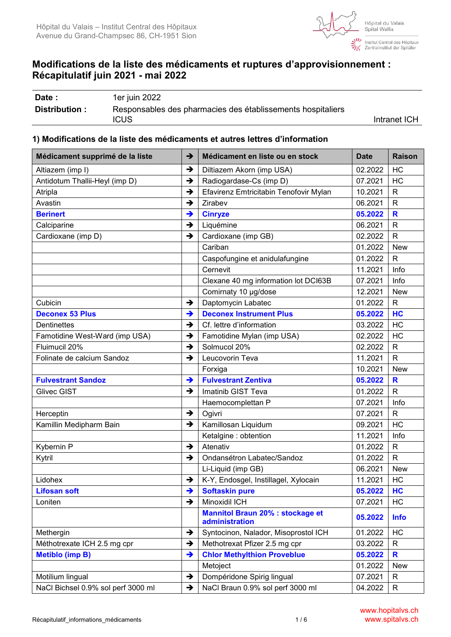

ः<br>देखाः Institut Central des Hôpitaux<br>प्रियुद्धाः Zentralinstitut der Spitäler

# **Modifications de la liste des médicaments et ruptures d'approvisionnement : Récapitulatif juin 2021 - mai 2022**

| Date :         | 1er juin 2022                                               |              |
|----------------|-------------------------------------------------------------|--------------|
| Distribution : | Responsables des pharmacies des établissements hospitaliers |              |
|                | ICUS                                                        | Intranet ICH |

### **1) Modifications de la liste des médicaments et autres lettres d'information**

| Médicament supprimé de la liste    | $\rightarrow$ | Médicament en liste ou en stock                           | <b>Date</b> | <b>Raison</b> |
|------------------------------------|---------------|-----------------------------------------------------------|-------------|---------------|
| Altiazem (imp I)                   | $\rightarrow$ | Diltiazem Akorn (imp USA)                                 | 02.2022     | HC            |
| Antidotum Thallii-Heyl (imp D)     | $\rightarrow$ | Radiogardase-Cs (imp D)                                   | 07.2021     | HC            |
| Atripla                            | $\rightarrow$ | Efavirenz Emtricitabin Tenofovir Mylan                    | 10.2021     | $\mathsf{R}$  |
| Avastin                            | $\rightarrow$ | Zirabev                                                   | 06.2021     | $\mathsf{R}$  |
| <b>Berinert</b>                    | $\rightarrow$ | <b>Cinryze</b>                                            | 05.2022     | R             |
| Calciparine                        | $\rightarrow$ | Liquémine                                                 | 06.2021     | $\mathsf{R}$  |
| Cardioxane (imp D)                 | $\rightarrow$ | Cardioxane (imp GB)                                       | 02.2022     | $\mathsf{R}$  |
|                                    |               | Cariban                                                   | 01.2022     | <b>New</b>    |
|                                    |               | Caspofungine et anidulafungine                            | 01.2022     | $\mathsf{R}$  |
|                                    |               | Cernevit                                                  | 11.2021     | Info          |
|                                    |               | Clexane 40 mg information lot DCI63B                      | 07.2021     | Info          |
|                                    |               | Comirnaty 10 µg/dose                                      | 12.2021     | <b>New</b>    |
| Cubicin                            | $\rightarrow$ | Daptomycin Labatec                                        | 01.2022     | $\mathsf{R}$  |
| <b>Deconex 53 Plus</b>             | $\rightarrow$ | <b>Deconex Instrument Plus</b>                            | 05.2022     | HC            |
| <b>Dentinettes</b>                 | $\rightarrow$ | Cf. lettre d'information                                  | 03.2022     | HC            |
| Famotidine West-Ward (imp USA)     | $\rightarrow$ | Famotidine Mylan (imp USA)                                | 02.2022     | HC            |
| Fluimucil 20%                      | $\rightarrow$ | Solmucol 20%                                              | 02.2022     | $\mathsf{R}$  |
| Folinate de calcium Sandoz         | $\rightarrow$ | Leucovorin Teva                                           | 11.2021     | $\mathsf{R}$  |
|                                    |               | Forxiga                                                   | 10.2021     | <b>New</b>    |
| <b>Fulvestrant Sandoz</b>          | $\rightarrow$ | <b>Fulvestrant Zentiva</b>                                | 05.2022     | $\mathbf R$   |
| <b>Glivec GIST</b>                 | $\rightarrow$ | Imatinib GIST Teva                                        | 01.2022     | $\mathsf{R}$  |
|                                    |               | Haemocomplettan P                                         | 07.2021     | Info          |
| Herceptin                          | $\rightarrow$ | Ogivri                                                    | 07.2021     | $\mathsf{R}$  |
| Kamillin Medipharm Bain            | $\rightarrow$ | Kamillosan Liquidum                                       | 09.2021     | HC            |
|                                    |               | Ketalgine : obtention                                     | 11.2021     | Info          |
| Kybernin P                         | $\rightarrow$ | Atenativ                                                  | 01.2022     | $\mathsf{R}$  |
| Kytril                             | $\rightarrow$ | Ondansétron Labatec/Sandoz                                | 01.2022     | $\mathsf{R}$  |
|                                    |               | Li-Liquid (imp GB)                                        | 06.2021     | <b>New</b>    |
| Lidohex                            | $\rightarrow$ | K-Y, Endosgel, Instillagel, Xylocain                      | 11.2021     | HC            |
| <b>Lifosan soft</b>                | →             | <b>Softaskin pure</b>                                     | 05.2022     | HС            |
| Loniten                            | $\rightarrow$ | Minoxidil ICH                                             | 07.2021     | HC            |
|                                    |               | <b>Mannitol Braun 20% : stockage et</b><br>administration | 05.2022     | <b>Info</b>   |
| Methergin                          | $\rightarrow$ | Syntocinon, Nalador, Misoprostol ICH                      | 01.2022     | HC            |
| Méthotrexate ICH 2.5 mg cpr        | $\rightarrow$ | Methotrexat Pfizer 2.5 mg cpr                             | 03.2022     | R             |
| <b>Metiblo (imp B)</b>             | $\rightarrow$ | <b>Chlor Methylthion Proveblue</b>                        | 05.2022     | R             |
|                                    |               | Metoject                                                  | 01.2022     | New           |
| Motilium lingual                   | →             | Dompéridone Spirig lingual                                | 07.2021     | R             |
| NaCl Bichsel 0.9% sol perf 3000 ml | $\rightarrow$ | NaCl Braun 0.9% sol perf 3000 ml                          | 04.2022     | $\mathsf{R}$  |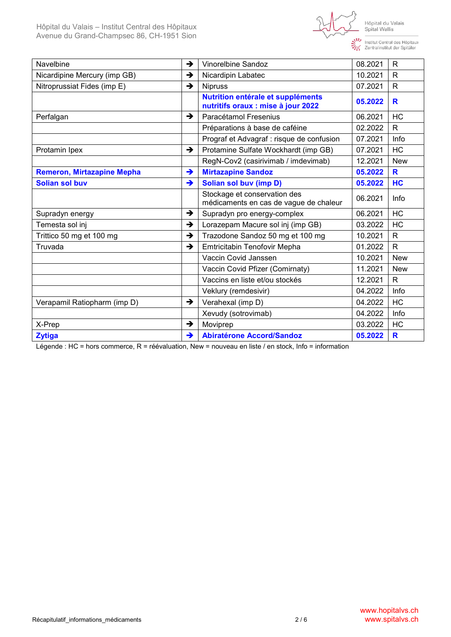

Institut Central des Hôpitaux<br>Tentralinstitut der Spitäler

| Navelbine                         | $\rightarrow$ | Vinorelbine Sandoz                                                      | 08.2021 | $\mathsf{R}$ |
|-----------------------------------|---------------|-------------------------------------------------------------------------|---------|--------------|
| Nicardipine Mercury (imp GB)      | →             | Nicardipin Labatec                                                      | 10.2021 | R            |
| Nitroprussiat Fides (imp E)       | →             | <b>Nipruss</b>                                                          | 07.2021 | R            |
|                                   |               | Nutrition entérale et suppléments<br>nutritifs oraux : mise à jour 2022 | 05.2022 | R            |
| Perfalgan                         | $\rightarrow$ | Paracétamol Fresenius                                                   | 06.2021 | <b>HC</b>    |
|                                   |               | Préparations à base de caféine                                          | 02.2022 | R            |
|                                   |               | Prograf et Advagraf : risque de confusion                               | 07.2021 | Info         |
| Protamin Ipex                     | $\rightarrow$ | Protamine Sulfate Wockhardt (imp GB)                                    | 07.2021 | HC           |
|                                   |               | RegN-Cov2 (casirivimab / imdevimab)                                     | 12.2021 | <b>New</b>   |
| <b>Remeron, Mirtazapine Mepha</b> | $\rightarrow$ | <b>Mirtazapine Sandoz</b>                                               | 05.2022 | R            |
| <b>Solian sol buv</b>             | →             | Solian sol buv (imp D)                                                  | 05.2022 | HC           |
|                                   |               | Stockage et conservation des<br>médicaments en cas de vague de chaleur  | 06.2021 | Info         |
| Supradyn energy                   | $\rightarrow$ | Supradyn pro energy-complex                                             | 06.2021 | <b>HC</b>    |
| Temesta sol inj                   | →             | Lorazepam Macure sol inj (imp GB)                                       | 03.2022 | <b>HC</b>    |
| Trittico 50 mg et 100 mg          | $\rightarrow$ | Trazodone Sandoz 50 mg et 100 mg                                        | 10.2021 | R            |
| Truvada                           | $\rightarrow$ | Emtricitabin Tenofovir Mepha                                            | 01.2022 | $\mathsf{R}$ |
|                                   |               | Vaccin Covid Janssen                                                    | 10.2021 | <b>New</b>   |
|                                   |               | Vaccin Covid Pfizer (Comirnaty)                                         | 11.2021 | <b>New</b>   |
|                                   |               | Vaccins en liste et/ou stockés                                          | 12.2021 | R            |
|                                   |               | Veklury (remdesivir)                                                    | 04.2022 | Info         |
| Verapamil Ratiopharm (imp D)      | $\rightarrow$ | Verahexal (imp D)                                                       | 04.2022 | HC           |
|                                   |               | Xevudy (sotrovimab)                                                     | 04.2022 | Info         |
| X-Prep                            | →             | Moviprep                                                                | 03.2022 | HC           |
| <b>Zytiga</b>                     | →             | <b>Abiratérone Accord/Sandoz</b>                                        | 05.2022 | R            |

Légende : HC = hors commerce, R = réévaluation, New = nouveau en liste / en stock, Info = information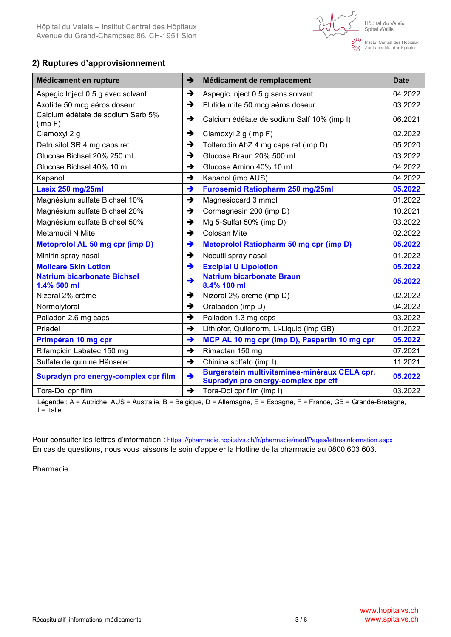ः<br>देखें Institut Central des Hôpitaux<br>प्रभुद्द Zentralinstitut der Spitäler

# **2) Ruptures d'approvisionnement**

| Médicament en rupture                             | →             | Médicament de remplacement                                                           | <b>Date</b> |
|---------------------------------------------------|---------------|--------------------------------------------------------------------------------------|-------------|
| Aspegic Inject 0.5 g avec solvant                 | $\rightarrow$ | Aspegic Inject 0.5 g sans solvant                                                    | 04.2022     |
| Axotide 50 mcg aéros doseur                       | $\rightarrow$ | Flutide mite 50 mcg aéros doseur                                                     | 03.2022     |
| Calcium édétate de sodium Serb 5%<br>(imp F)      | $\rightarrow$ | Calcium édétate de sodium Salf 10% (imp I)                                           | 06.2021     |
| Clamoxyl 2 g                                      | $\rightarrow$ | Clamoxyl 2 g (imp F)                                                                 | 02.2022     |
| Detrusitol SR 4 mg caps ret                       | $\rightarrow$ | Tolterodin AbZ 4 mg caps ret (imp D)                                                 | 05.2020     |
| Glucose Bichsel 20% 250 ml                        | $\rightarrow$ | Glucose Braun 20% 500 ml                                                             | 03.2022     |
| Glucose Bichsel 40% 10 ml                         | $\rightarrow$ | Glucose Amino 40% 10 ml                                                              | 04.2022     |
| Kapanol                                           | →             | Kapanol (imp AUS)                                                                    | 04.2022     |
| Lasix 250 mg/25ml                                 | $\rightarrow$ | <b>Furosemid Ratiopharm 250 mg/25ml</b>                                              | 05.2022     |
| Magnésium sulfate Bichsel 10%                     | $\rightarrow$ | Magnesiocard 3 mmol                                                                  | 01.2022     |
| Magnésium sulfate Bichsel 20%                     | $\rightarrow$ | Cormagnesin 200 (imp D)                                                              | 10.2021     |
| Magnésium sulfate Bichsel 50%                     | $\rightarrow$ | Mg 5-Sulfat 50% (imp D)                                                              | 03.2022     |
| Metamucil N Mite                                  | $\rightarrow$ | Colosan Mite                                                                         | 02.2022     |
| Metoprolol AL 50 mg cpr (imp D)                   | →             | <b>Metoprolol Ratiopharm 50 mg cpr (imp D)</b>                                       | 05.2022     |
| Minirin spray nasal                               | →             | Nocutil spray nasal                                                                  | 01.2022     |
| <b>Molicare Skin Lotion</b>                       | →             | <b>Excipial U Lipolotion</b>                                                         | 05.2022     |
| <b>Natrium bicarbonate Bichsel</b><br>1.4% 500 ml | →             | <b>Natrium bicarbonate Braun</b><br>8.4% 100 ml                                      | 05.2022     |
| Nizoral 2% crème                                  | $\rightarrow$ | Nizoral 2% crème (imp D)                                                             | 02.2022     |
| Normolytoral                                      | $\rightarrow$ | Oralpädon (imp D)                                                                    | 04.2022     |
| Palladon 2.6 mg caps                              | $\rightarrow$ | Palladon 1.3 mg caps                                                                 | 03.2022     |
| Priadel                                           | →             | Lithiofor, Quilonorm, Li-Liquid (imp GB)                                             | 01.2022     |
| Primpéran 10 mg cpr                               | →             | MCP AL 10 mg cpr (imp D), Paspertin 10 mg cpr                                        | 05.2022     |
| Rifampicin Labatec 150 mg                         | $\rightarrow$ | Rimactan 150 mg                                                                      | 07.2021     |
| Sulfate de quinine Hänseler                       | $\rightarrow$ | Chinina solfato (imp I)                                                              | 11.2021     |
| Supradyn pro energy-complex cpr film              | $\rightarrow$ | Burgerstein multivitamines-minéraux CELA cpr,<br>Supradyn pro energy-complex cpr eff | 05.2022     |
| Tora-Dol cpr film                                 | $\rightarrow$ | Tora-Dol cpr film (imp I)                                                            | 03.2022     |

Légende : A = Autriche, AUS = Australie, B = Belgique, D = Allemagne, E = Espagne, F = France, GB = Grande-Bretagne,  $I = It$ alie

Pour consulter les lettres d'information : https [://pharmacie.hopitalvs.ch/fr/pharmacie/med/Pages/lettresinformation.aspx](https://pharmacie.hopitalvs.ch/fr/pharmacie/med/Pages/lettresinformation.aspx) En cas de questions, nous vous laissons le soin d'appeler la Hotline de la pharmacie au 0800 603 603.

Pharmacie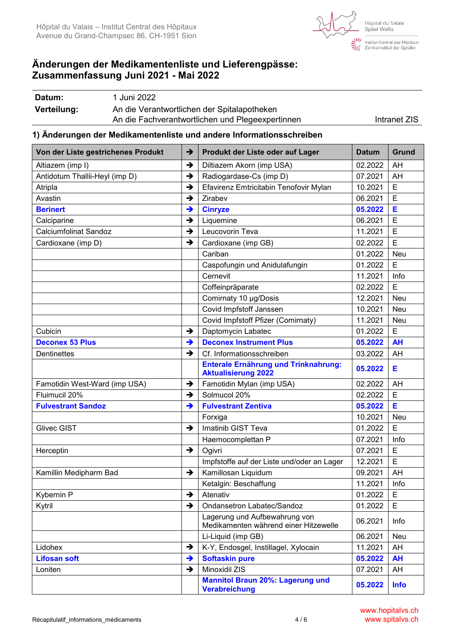

ं<br>देखा Institut Central des Hôpitaux<br>प्रेम्भ Zentralinstitut der Spitäler

# **Änderungen der Medikamentenliste und Lieferengpässe: Zusammenfassung Juni 2021 - Mai 2022**

| Datum:      | 1 Juni 2022                                      |              |
|-------------|--------------------------------------------------|--------------|
| Verteilung: | An die Verantwortlichen der Spitalapotheken      |              |
|             | An die Fachverantwortlichen und Plegeexpertinnen | Intranet ZIS |

#### **1) Änderungen der Medikamentenliste und andere Informationsschreiben**

| Von der Liste gestrichenes Produkt | $\rightarrow$ | Produkt der Liste oder auf Lager                                       | <b>Datum</b> | Grund       |
|------------------------------------|---------------|------------------------------------------------------------------------|--------------|-------------|
| Altiazem (imp I)                   | $\rightarrow$ | Diltiazem Akorn (imp USA)                                              | 02.2022      | AH          |
| Antidotum Thallii-Heyl (imp D)     | $\rightarrow$ | Radiogardase-Cs (imp D)                                                | 07.2021      | AH          |
| Atripla                            | $\rightarrow$ | Efavirenz Emtricitabin Tenofovir Mylan                                 | 10.2021      | E           |
| Avastin                            | $\rightarrow$ | Zirabev                                                                | 06.2021      | E           |
| <b>Berinert</b>                    | $\rightarrow$ | <b>Cinryze</b>                                                         | 05.2022      | Е           |
| Calciparine                        | $\rightarrow$ | Liquemine                                                              | 06.2021      | E           |
| <b>Calciumfolinat Sandoz</b>       | $\rightarrow$ | Leucovorin Teva                                                        | 11.2021      | E           |
| Cardioxane (imp D)                 | $\rightarrow$ | Cardioxane (imp GB)                                                    | 02.2022      | E           |
|                                    |               | Cariban                                                                | 01.2022      | Neu         |
|                                    |               | Caspofungin und Anidulafungin                                          | 01.2022      | E           |
|                                    |               | Cernevit                                                               | 11.2021      | Info        |
|                                    |               | Coffeinpräparate                                                       | 02.2022      | E           |
|                                    |               | Comirnaty 10 µg/Dosis                                                  | 12.2021      | Neu         |
|                                    |               | Covid Impfstoff Janssen                                                | 10.2021      | <b>Neu</b>  |
|                                    |               | Covid Impfstoff Pfizer (Comirnaty)                                     | 11.2021      | Neu         |
| Cubicin                            | →             | Daptomycin Labatec                                                     | 01.2022      | E           |
| <b>Deconex 53 Plus</b>             | $\rightarrow$ | <b>Deconex Instrument Plus</b>                                         | 05.2022      | <b>AH</b>   |
| <b>Dentinettes</b>                 | $\rightarrow$ | Cf. Informationsschreiben                                              | 03.2022      | AH          |
|                                    |               | Enterale Ernährung und Trinknahrung:<br><b>Aktualisierung 2022</b>     | 05.2022      | Е           |
| Famotidin West-Ward (imp USA)      | $\rightarrow$ | Famotidin Mylan (imp USA)                                              | 02.2022      | AH          |
| Fluimucil 20%                      | →             | Solmucol 20%                                                           | 02.2022      | E           |
| <b>Fulvestrant Sandoz</b>          | $\rightarrow$ | <b>Fulvestrant Zentiva</b>                                             | 05.2022      | Е           |
|                                    |               | Forxiga                                                                | 10.2021      | Neu         |
| <b>Glivec GIST</b>                 | $\rightarrow$ | Imatinib GIST Teva                                                     | 01.2022      | E           |
|                                    |               | Haemocomplettan P                                                      | 07.2021      | Info        |
| Herceptin                          | $\rightarrow$ | Ogivri                                                                 | 07.2021      | E           |
|                                    |               | Impfstoffe auf der Liste und/oder an Lager                             | 12.2021      | E           |
| Kamillin Medipharm Bad             | $\rightarrow$ | Kamillosan Liquidum                                                    | 09.2021      | AH          |
|                                    |               | Ketalgin: Beschaffung                                                  | 11.2021      | Info        |
| Kybernin P                         | →             | Atenativ                                                               | 01.2022      | Е           |
| Kytril                             | $\rightarrow$ | Ondansetron Labatec/Sandoz                                             | 01.2022      | E.          |
|                                    |               | Lagerung und Aufbewahrung von<br>Medikamenten während einer Hitzewelle | 06.2021      | Info        |
|                                    |               | Li-Liquid (imp GB)                                                     | 06.2021      | Neu         |
| Lidohex                            | $\rightarrow$ | K-Y, Endosgel, Instillagel, Xylocain                                   | 11.2021      | AH          |
| <b>Lifosan soft</b>                | $\rightarrow$ | <b>Softaskin pure</b>                                                  | 05.2022      | <b>AH</b>   |
| Loniten                            | $\rightarrow$ | Minoxidil ZIS                                                          | 07.2021      | AH          |
|                                    |               | <b>Mannitol Braun 20%: Lagerung und</b><br><b>Verabreichung</b>        | 05.2022      | <b>Info</b> |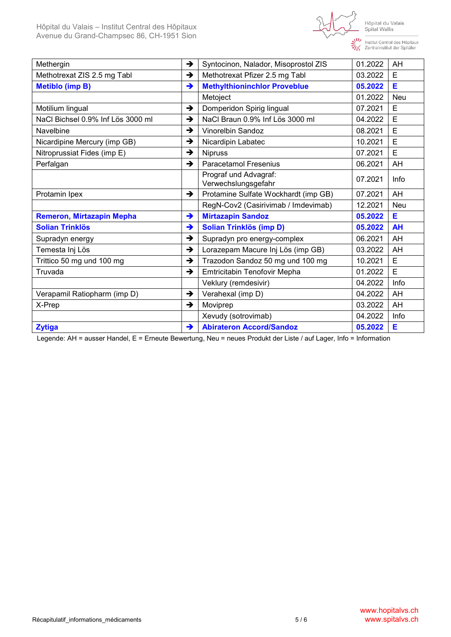

Institut Central des Hôpitaux<br>Tentralinstitut der Spitäler

| Methergin                         | $\rightarrow$ | Syntocinon, Nalador, Misoprostol ZIS         | 01.2022 | AH         |
|-----------------------------------|---------------|----------------------------------------------|---------|------------|
| Methotrexat ZIS 2.5 mg Tabl       | →             | Methotrexat Pfizer 2.5 mg Tabl               | 03.2022 | E          |
| <b>Metiblo (imp B)</b>            | $\rightarrow$ | <b>Methylthioninchlor Proveblue</b>          | 05.2022 | Е          |
|                                   |               | Metoject                                     | 01.2022 | <b>Neu</b> |
| Motilium lingual                  | $\rightarrow$ | Domperidon Spirig lingual                    | 07.2021 | E          |
| NaCl Bichsel 0.9% Inf Lös 3000 ml | →             | NaCl Braun 0.9% Inf Lös 3000 ml              | 04.2022 | E          |
| Navelbine                         | →             | <b>Vinorelbin Sandoz</b>                     | 08.2021 | E          |
| Nicardipine Mercury (imp GB)      | →             | Nicardipin Labatec                           | 10.2021 | E          |
| Nitroprussiat Fides (imp E)       | →             | <b>Nipruss</b>                               | 07.2021 | E          |
| Perfalgan                         | $\rightarrow$ | <b>Paracetamol Fresenius</b>                 | 06.2021 | AH         |
|                                   |               | Prograf und Advagraf:<br>Verwechslungsgefahr | 07.2021 | Info       |
| Protamin Ipex                     | $\rightarrow$ | Protamine Sulfate Wockhardt (imp GB)         | 07.2021 | AH         |
|                                   |               | RegN-Cov2 (Casirivimab / Imdevimab)          | 12.2021 | <b>Neu</b> |
| Remeron, Mirtazapin Mepha         | →             | <b>Mirtazapin Sandoz</b>                     | 05.2022 | Е          |
| <b>Solian Trinklös</b>            | $\rightarrow$ | <b>Solian Trinklös (imp D)</b>               | 05.2022 | <b>AH</b>  |
| Supradyn energy                   | →             | Supradyn pro energy-complex                  | 06.2021 | AH         |
| Temesta Inj Lös                   | →             | Lorazepam Macure Inj Lös (imp GB)            | 03.2022 | AH         |
| Trittico 50 mg und 100 mg         | →             | Trazodon Sandoz 50 mg und 100 mg             | 10.2021 | E          |
| Truvada                           | →             | Emtricitabin Tenofovir Mepha                 | 01.2022 | E          |
|                                   |               | Veklury (remdesivir)                         | 04.2022 | Info       |
| Verapamil Ratiopharm (imp D)      | $\rightarrow$ | Verahexal (imp D)                            | 04.2022 | AH         |
| X-Prep                            | →             | Moviprep                                     | 03.2022 | AH         |
|                                   |               | Xevudy (sotrovimab)                          | 04.2022 | Info       |
| <b>Zytiga</b>                     | →             | <b>Abirateron Accord/Sandoz</b>              | 05.2022 | Е          |

Legende: AH = ausser Handel, E = Erneute Bewertung, Neu = neues Produkt der Liste / auf Lager, Info = Information